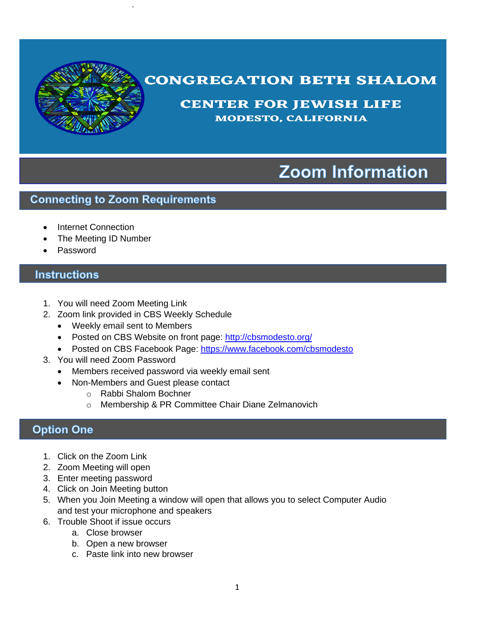

# **CONGREGATION BETH SHALOM**

**CENTER FOR JEWISH LIFE MODESTO, CALIFORNIA** 

# **Zoom Information**

#### **Connecting to Zoom Requirements**

- Internet Connection
- The Meeting ID Number
- Password

### **Instructions**

- 1. You will need Zoom Meeting Link
- 2. Zoom link provided in CBS Weekly Schedule
	- Weekly email sent to Members
	- Posted on CBS Website on front page: [http://cbsmodesto.org/](https://l.facebook.com/l.php?u=http%3A%2F%2Fcbsmodesto.org%2F%3Ffbclid%3DIwAR0M9HZFsWyj9Ptncz3ANeLTQINw03Tf7ShMF2pKsMXC4S7-HFDPYbuni9A&h=AT0fO5lFVLFv25V8sdkG1DUiexLwbau47haw-Y_Q9mujMTrGQEKobIRszGC8DcZkmDtdW_mzgL8euQqiJOhCL3qZb3LoTOrWcMfOBQWfAfsS3612zRhkvAgFWAeDrvlGg9o)
	- Posted on CBS Facebook Page:<https://www.facebook.com/cbsmodesto>
- 3. You will need Zoom Password
	- Members received password via weekly email sent
	- Non-Members and Guest please contact
		- o Rabbi Shalom Bochner
		- o Membership & PR Committee Chair Diane Zelmanovich

## **Option One**

- 1. Click on the Zoom Link
- 2. Zoom Meeting will open
- 3. Enter meeting password
- 4. Click on Join Meeting button
- 5. When you Join Meeting a window will open that allows you to select Computer Audio and test your microphone and speakers
- 6. Trouble Shoot if issue occurs
	- a. Close browser
	- b. Open a new browser
	- c. Paste link into new browser